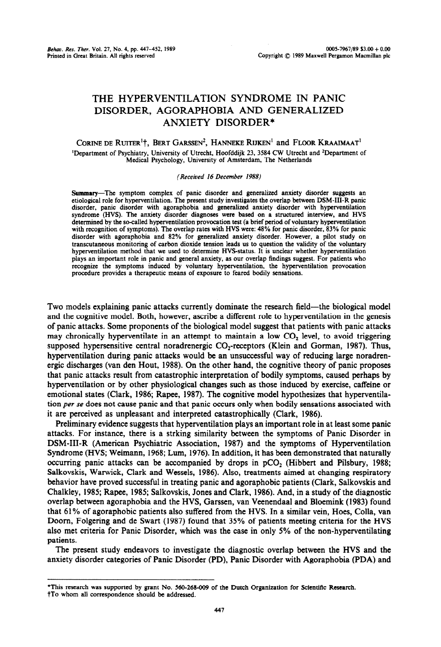# **THE HYPERVENTILATION SYNDROME IN PANIC DISORDER, AGORAPHOBIA AND GENERALIZED ANXIETY DISORDER\***

CORINE DE RUITER<sup>1</sup>†, BERT GARSSEN<sup>2</sup>, HANNEKE RIJKEN<sup>1</sup> and FLOOR KRAAIMAAT<sup>1</sup> <sup>1</sup>Department of Psychiatry, University of Utrecht, Hoofddijk 23, 3584 CW Utrecht and <sup>2</sup>Department of Medical Psychology, University of Amsterdam, The Netherlands

#### *(Received 16 December 1988)*

Summary-The symptom complex of panic disorder and generalized anxiety disorder suggests an etiological role for hyperventilation. The present study investigates the overlap between DSM-III-R panic disorder, panic disorder with agoraphobia and generalized anxiety disorder with hyperventilation syndrome (HVS). The anxiety disorder diagnoses were based on a structured interview, and HVS determined by the so-called hyperventilation provocation test (a brief period of voluntary hyperventilation with recognition of symptoms). The overlap rates with HVS were: 48% for panic disorder, 83% for panic disorder with agoraphobia and 82% for generalized anxiety disorder. However, a pilot study on transcutaneous monitoring of carbon dioxide tension leads us to question the validity of the voluntary hyperventilation method that we used to determine HVS-status. It is unclear whether hyperventilation plays an important role in panic and general anxiety, as our overlap findings suggest. For patients who recognize the symptoms induced by voluntary hyperventilation, the hyperventilation provocation procedure provides a therapeutic means of exposure to feared bodily sensations.

Two models explaining panic attacks currently dominate the research field—the biological model and the cognitive model. Both, however, ascribe a different role to hyperventilation in the genesis of panic attacks. Some proponents of the biological model suggest that patients with panic attacks may chronically hyperventilate in an attempt to maintain a low  $CO<sub>2</sub>$  level, to avoid triggering supposed hypersensitive central noradrenergic  $CO_2$ -receptors (Klein and Gorman, 1987). Thus, hyperventilation during panic attacks would be an unsuccessful way of reducing large noradrenergic discharges (van den Hout, 1988). On the other hand, the cognitive theory of panic proposes that panic attacks result from catastrophic interpretation of bodily symptoms, caused perhaps by hyperventilation or by other physiological changes such as those induced by exercise, caffeine or emotional states (Clark, 1986; Rapee, 1987). The cognitive model hypothesizes that hyperventilation per se does not cause panic and that panic occurs only when bodily sensations associated with it are perceived as unpleasant and interpreted catastrophically (Clark, 1986).

Preliminary evidence suggests that hyperventilation plays an important role in at least some panic attacks. For instance, there is a strking similarity between the symptoms of Panic Disorder in DSM-III-R (American Psychiatric Association, 1987) and the symptoms of Hyperventilation Syndrome (HVS; Weimann, 1968; Lum, 1976). In addition, it has been demonstrated that naturally occurring panic attacks can be accompanied by drops in  $pCO<sub>2</sub>$  (Hibbert and Pilsbury, 1988; Salkovskis, Warwick, Clark and Wessels, 1986). Also, treatments aimed at changing respiratory behavior have proved successful in treating panic and agoraphobic patients (Clark, Salkovskis and Chalkley, 1985; Rapee, 1985; Salkovskis, Jones and Clark, 1986). And, in a study of the diagnostic overlap between agoraphobia and the HVS, Garssen, van Veenendaal and Bloemink (1983) found that 61% of agoraphobic patients also suffered from the HVS. In a similar vein, Hoes, Colla, van Doorn, Folgering and de Swart (1987) found that 35% of patients meeting criteria for the HVS also met criteria for Panic Disorder, which was the case in only 5% of the non-hyperventilating patients.

The present study endeavors to investigate the diagnostic overlap between the HVS and the anxiety disorder categories of Panic Disorder (PD), Panic Disorder with Agoraphobia (FDA) and

<sup>\*</sup>This research was supported by grant No. 560-268-009 of the Dutch Organization for Scientific Research. †To whom all correspondence should be addressed.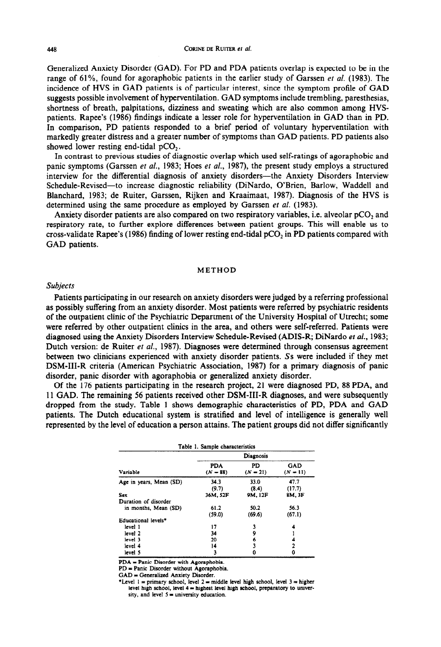Generalized Anxiety Disorder (GAD). For PD and PDA patients overlap is expected to be in the range of 61%, found for agoraphobic patients in the earlier study of Garssen *et al.* (1983). The incidence of HVS in GAD patients is of particular interest, since the symptom profile of GAD suggests possible involvement of hyperventilation. GAD symptoms include trembling, paresthesias, shortness of breath, palpitations, dizziness and sweating which are also common among HVSpatients. Rapee's (1986) findings indicate a lesser role for hyperventilation in GAD than in PD. In comparison, PD patients responded to a brief period of voluntary hyperventilation with markedly greater distress and a greater number of symptoms than GAD patients. PD patients also showed lower resting end-tidal  $pCO<sub>2</sub>$ .

In contrast to previous studies of diagnostic overlap which used self-ratings of agoraphobic and panic symptoms (Garssen et *al.,* 1983; Hoes et af., 1987), the present study employs a structured interview for the differential diagnosis of anxiety disorders-the Anxiety Disorders Interview Schedule-Revised-to increase diagnostic reliability (DiNardo, O'Brien, Barlow, Waddell and Blanchard, 1983; de Ruiter, Garssen, Rijken and Kraaimaat, 1987). Diagnosis of the HVS is determined using the same procedure as employed by Garssen et al. (1983).

Anxiety disorder patients are also compared on two respiratory variables, i.e. alveolar pCO<sub>2</sub> and respiratory rate, to further explore differences between patient groups. This will enable us to cross-validate Rapee's (1986) finding of lower resting end-tidal pCO<sub>2</sub> in PD patients compared with GAD patients.

## **METHOD**

#### *Subjects*

Patients participating in our research on anxiety disorders were judged by a referring professional as possibly suffering from an anxiety disorder. Most patients were referred by psychiatric residents of the outpatient clinic of the Psychiatric Department of the University Hospital of Utrecht; some were referred by other outpatient clinics in the area, and others were self-referred. Patients were diagnosed using the Anxiety Disorders Interview Schedule-Revised (ADIS-R; DiNardo et al., 1983; Dutch version: de Ruiter et al., 1987). Diagnoses were determined through consensus agreement between two clinicians experienced with anxiety disorder patients. Ss were included if they met DSM-III-R criteria (American Psychiatric Association, 1987) for a primary diagnosis of panic disorder, panic disorder with agoraphobia or generalized anxiety disorder.

Of the 176 patients participating in the research project, 21 were diagnosed PD, 88 PDA, and 1 I GAD. The remaining 56 patients received other DSM-III-R diagnoses, and were subsequently dropped from the study. Table 1 shows demographic characteristics of PD, PDA and GAD patients. The Dutch educational system is stratified and level of intelligence is generally well represented by the level of education a person attains. The patient groups did not differ significantly

| Table 1. Sample characteristics |                          |                  |                          |  |
|---------------------------------|--------------------------|------------------|--------------------------|--|
| Variable                        | Diagnosis                |                  |                          |  |
|                                 | <b>PDA</b><br>$(N = 88)$ | PD<br>$(N = 21)$ | <b>GAD</b><br>$(N = 11)$ |  |
| Age in years, Mean (SD)         | 34.3<br>(9,7)            | 33.0<br>(8.4)    | 47.7<br>(17.7)           |  |
| Sex                             | 36M, 52F                 | 9M. 12F          | 8M, 3F                   |  |
| Duration of disorder            |                          |                  |                          |  |
| in months, Mean (SD)            | 61.2<br>(59.0)           | 50.2<br>(69.6)   | 56.3<br>(67.1)           |  |
| Educational levels <sup>*</sup> |                          |                  |                          |  |
| level 1                         | 17                       |                  |                          |  |
| level 2                         | 34                       | 9                |                          |  |
| level 3                         | 20                       | 6                |                          |  |
| level 4                         | 14                       |                  |                          |  |
| level 5                         | 3                        |                  |                          |  |

PDA = Panic Disorder with Agoraphobia.

PD = Panic Disorder without Agoraphobia.

GAD = Generalized Anxiety Disorder.

\*Level  $1 =$  primary school, level  $2 =$  middle level high school, level  $3 =$  higher level high school, level  $4 =$  highest level high school, preparatory to university, and level  $5 =$  university education.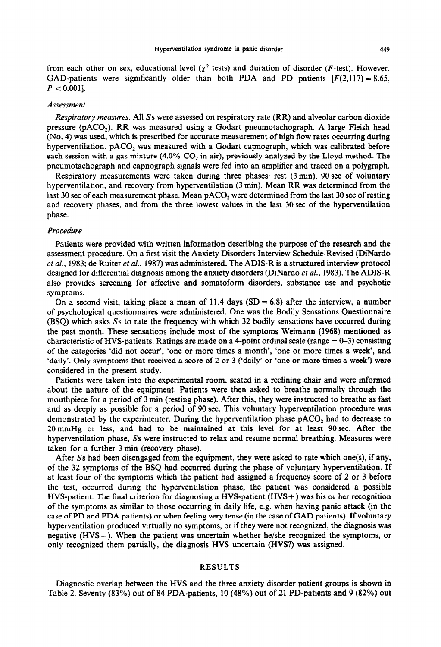from each other on sex, educational level ( $\chi^2$  tests) and duration of disorder (F-test). However, GAD-patients were significantly older than both PDA and PD patients  $[F(2,117) = 8.65]$ ,  $P < 0.001$ .

## *Assessment*

*Respiratory measures.* All Ss were assessed on respiratory rate (RR) and alveolar carbon dioxide pressure (pACO<sub>2</sub>). RR was measured using a Godart pneumotachograph. A large Fleish head (No. 4) was used, which is prescribed for accurate measurement of high flow rates occurring during hyperventilation. pACU, was measured with a Godart capnograph, which was calibrated before each session with a gas mixture (4.0%  $CO<sub>2</sub>$  in air), previously analyzed by the Lloyd method. The pneumotachograph and capnograph signals were fed into an amplifier and traced on a polygraph,

Respiratory measurements were taken during three phases: rest (3 min), 90 sec of voluntary hyperventilation, and recovery from hyperventilation (3 min). Mean RR was determined from the last 30 sec of each measurement phase. Mean  $pACO<sub>2</sub>$  were determined from the last 30 sec of resting and recovery phases, and from the three lowest values in the last 30 sec of the hyperventilation phase.

#### Procedure

Patients were provided with written information describing the purpose of the research and the assessment procedure. On a first visit the Anxiety Disorders Interview Schedule-Revised (DiNardo et al., 1983; de Ruiter et al., 1987) was administered. The ADIS-R is a structured interview protocol designed for differential diagnosis among the anxiety disorders (DiNardo *et al.,* 1983). The ADIS-R also provides screening for affective and somatoform disorders, substance use and psychotic symptoms.

On a second visit, taking place a mean of 11.4 days  $(SD = 6.8)$  after the interview, a number of psychological questionnaires were administered. One was the Bodily Sensations Questionnaire (BSQ) which asks Ss to rate the frequency with which 32 bodily sensations have occurred during the past month. These sensations include most of the symptoms Weimann (1968) mentioned as characteristic of HVS-patients. Ratings are made on a 4-point ordinal scale (range  $= 0-3$ ) consisting of the categories 'did not occur', 'one or more times a month', 'one or more times a week', and 'daily'. Only symptoms that received a score of 2 or 3 ('daily' or 'one or more times a week') were considered in the present study.

Patients were taken into the experimental room, seated in a reclining chair and were informed about the nature of the equipment. Patients were then asked to breathe normally through the mouthpiece for a period of 3 min (resting phase). After this, they were instructed to breathe as fast and as deeply as possible for a period of 90 sec. This voluntary hyperventilation procedure was demonstrated by the experimenter. During the hyperventilation phase  $pACO<sub>2</sub>$  had to decrease to 20 mmHg or less, and had to be maintained at this level for at least 90 sec. After the hyperventilation phase, Ss were instructed to relax and resume normal breathing. Measures were taken for a further 3 min (recovery phase).

After Ss had been disengaged from the equipment, they were asked to rate which one(s), if any, of the 32 symptoms of the BSQ had occurred during the phase of voluntary hyperventilation. If at least four of the symptoms which the patient had assigned a frequency score of 2 or 3 before the test, occurred during the hyperventilation phase, the patient was considered a possible HVS-patient. The final criterion for diagnosing a HVS-patient (HVS+) was his or her recognition of the symptoms as similar to those occurring in daily life, e.g. when having panic attack {in the case of PD and PDA patients) or when feeling very tense (in the case of GAD patients). If voluntary hyperventilation produced virtually no symptoms, or if they were not recognized, the diagnosis was negative (HVS-). When the patient was uncertain whether he/she recognized the symptoms, or only recognized them partially, the diagnosis HVS uncertain (HVS?) was assigned.

# RESULTS

Diagnostic overlap between the HVS and the three anxiety disorder patient groups is shown in Table 2. Seventy  $(83\%)$  out of 84 PDA-patients, 10  $(48\%)$  out of 21 PD-patients and 9  $(82\%)$  out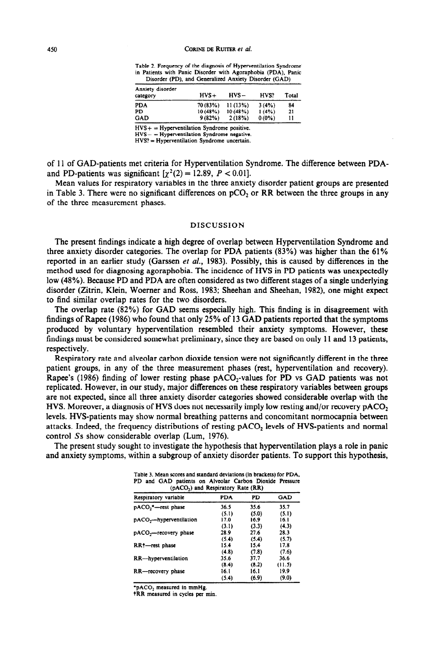**Table 2. Frequency of the diagnosis of Hyperventilation Syndrome**  in Patients with Panic Disorder with Agoraphobia (PDA), Panic Disorder (PD), and Generalized Anxiety Disorder (GAD)

| Anxiety disorder<br>category | $HVS+$   | $HVS -$ | HVS?     | Total |
|------------------------------|----------|---------|----------|-------|
| <b>PDA</b>                   | 70 (83%) | 11(13%) | 3(4%)    | 84    |
| PD                           | 10(48%)  | 10(48%) | 1(4%     | 21    |
| GAD                          | 9(82%)   | 2(18%)  | $0(0\%)$ | 11    |

**HVS+ = Hyperventilation Syndrome positive.** 

**HVS- = Hyperventilation Syndrome negative.** 

**HVS? = Hyperventilation Syndrome uncertain.** 

of 11 of GAD-patients met criteria for Hyperventilation Syndrome. The difference between PDAand PD-patients was significant  $[\chi^2(2) = 12.89, P < 0.01]$ .

Mean values for respiratory variables in the three anxiety disorder patient groups are presented in Table 3. There were no significant differences on  $pCO<sub>2</sub>$  or RR between the three groups in any of the three measurement phases.

## DISCUSSION

The present findings indicate a high degree of overlap between Hyperventilation Syndrome and three anxiety disorder categories. The overlap for PDA patients (83%) was higher than the 61% reported in an earlier study (Garssen et *al.,* 1983). Possibly, this is caused by differences in the method used for diagnosing agoraphobia. The incidence of HVS in PD patients was unexpectedly low (48%). Because PD and PDA are often considered as two different stages of a single underlying disorder (Zitrin, Klein, Woerner and Ross, 1983; Sheehan and Sheehan, 1982), one might expect to find similar overlap rates for the two disorders.

The overlap rate (82%) for GAD seems especially high. This finding is in disagreement with findings of Rapee (1986) who found that only 25% of 13 GAD patients reported that the symptoms produced by voluntary hyperventilation resembled their anxiety symptoms. However, these findings must be considered somewhat preliminary, since they are based on only I 1 and 13 patients, respectively.

Respiratory rate and alveolar carbon dioxide tension were not significantly different in the three patient groups, in any of the three measurement phases (rest, hyperventilation and recovery). Rapee's (1986) finding of lower resting phase  $pACO<sub>2</sub>$ -values for PD vs GAD patients was not replicated. However, in our study, major differences on these respiratory variables between groups are not expected, since all three anxiety disorder categories showed considerable overlap with the HVS. Moreover, a diagnosis of HVS does not necessarily imply low resting and/or recovery  $pACO<sub>2</sub>$ levels. HVS-patients may show normal breathing patterns and concomitant normocapnia between attacks. Indeed, the frequency distributions of resting pAC0, levels of HVS-patients and normal control Ss show considerable overlap (Lum, 1976).

The present study sought to investigate the hypothesis that hyperventilation plays a role in panic and anxiety symptoms, within a subgroup of anxiety disorder patients. To support this hypothesis,

**(pAC0,) and Respiratory Rate (RR) Respiratory variable PDA PD GAD pACO<sub>2</sub>\*--rest phase 36.5 35.6 35.7**<br>(5.1) **(5.0)** (5.1)  $(5.1)$   $(5.0)$   $(5.1)$ <br>17.0 **16.9 16.1 pACO<sub>2</sub>—hyperventilation** 17.0 16.9 16.1 **16.1 16.1 16.1 16.1** (3.1) (3.3) (4.3)<br>28.9 27.6 28.3 **pACO<sub>2</sub>—recovery phase 28.9 27.6 28.3**<br>(5.4) (5.4) (5.7) **(5.4) (5.4) (5.7) RR†**--rest phase **15.4 15.4 17.8 (4.8) (7.8) (7.6)** (4.8) (7.8) (7.6)<br>35.6 37.7 36.6 **RR-hyperventilation** 35.6 37.7<br>(8.4) 35.9 (8.2) **(8.4) (8.2) {I 1.5) RR—recovery phase** 16.1 16.1 19.9<br>(5.4) (6.9) (9.0)

 $(6.9)$ 

**Table 3. Mean scores and standard deviations (in brackets) for PDA. PD and GAD patients on Alveolar Carbon Dioxide Pressure** 

**\*pACOl measured in mmHg.** 

**tRR measured in cycles per min.**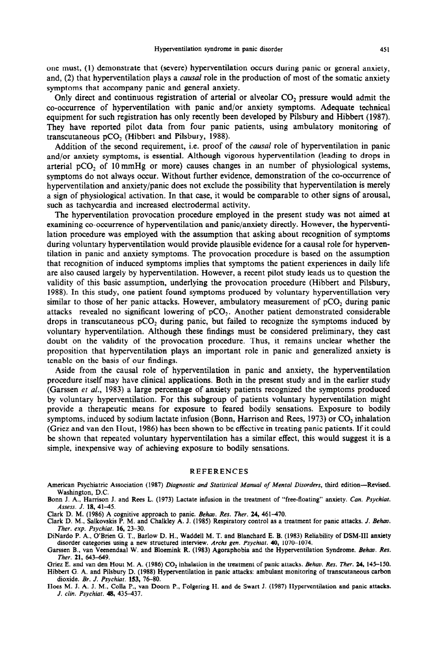one must, (1) demonstrate that (severe) hyperventilation occurs during panic or general anxiety, and, (2) that hyperventilation plays a *causal* role in the production of most of the somatic anxiety symptoms that accompany panic and general anxiety.

Only direct and continuous registration of arterial or alveolar CO<sub>2</sub> pressure would admit the co-occurrence of hyperventilation with panic and/or anxiety symptoms. Adequate technical equipment for such registration has only recently been developed by Pilsbury and Hibbert (1987). They have reported pilot data from four panic patients, using ambulatory monitoring of transcutaneous pCO<sub>2</sub> (Hibbert and Pilsbury, 1988).

Addition of the second requirement, i.e. proof of the *causal* role of hyperventilation in panic and/or anxiety symptoms, is essential. Although vigorous hyperventilation (leading to drops in arterial pCO<sub>2</sub> of 10 mmHg or more) causes changes in an number of physiological systems, symptoms do not always occur. Without further evidence, demonstration of the co-occurrence of hyperventilation and anxiety/panic does not exclude the possibility that hyperventilation is merely a sign of physiological activation. In that case, it would be comparable to other signs of arousal, such as tachycardia and increased electrodermal activity.

The hyperventilation provocation procedure employed in the present study was not aimed at examining co-occurrence of hyperventilation and panic/anxiety directly. However, the hyperventilation procedure was employed with the assumption that asking about recognition of symptoms during voluntary hyperventilation would provide plausible evidence for a causal role for hyperventilation in panic and anxiety symptoms. The provocation procedure is based on the assumption that recognition of induced symptoms implies that symptoms the patient experiences in daily life are also caused largely by hyperventilation. However, a recent pilot study leads us to question the validity of this basic assumption, underlying the provocation procedure (Hibbert and Pilsbury, 1988). In this study, one patient found symptoms produced by voluntary hyperventillation very similar to those of her panic attacks. However, ambulatory measurement of  $pCO<sub>2</sub>$  during panic attacks revealed no significant lowering of  $pCO<sub>2</sub>$ . Another patient demonstrated considerable drops in transcutaneous  $pCO<sub>2</sub>$  during panic, but failed to recognize the symptoms induced by voluntary hyperventilation. Although these findings must be considered preliminary, they cast doubt on the validity of the provocation procedure. Thus, it remains unclear whether the proposition that hyperventilation plays an important role in panic and generalized anxiety is tenable on the basis of our findings.

Aside from the causal role of hyperventilation in panic and anxiety, the hyperventilation procedure itself may have clinical applications. Both in the present study and in the earlier study (Garssen et al., 1983) a large percentage of anxiety patients recognized the symptoms produced by voluntary hyperventilation. For this subgroup of patients voluntary hyperventilation might provide a therapeutic means for exposure to feared bodily sensations. Exposure to bodily symptoms, induced by sodium lactate infusion (Bonn, Harrison and Rees, 1973) or  $CO<sub>2</sub>$  inhalation (Griez and van den Hout, 1986) has been shown to be effective in treating panic patients. If it could be shown that repeated voluntary hyperventilation has a similar effect, this would suggest it is a simple, inexpensive way of achieving exposure to bodily sensations.

#### REFERENCES

American Psychiatric Association (1987) Diagnostic and Statistical Manual of Mental Disorders, third edition-Revised. Washington, D.C.

Bonn J. A., Harrison J. and Rees L. (1973) Lactate infusion in the treatment of "free-floating" anxiety. Can. Psychiat. Assess. J. 18, 41-45.

Clark D. M. (1986) A cognitive approach to panic. *Behav. Res. Ther.* 24, 461-470.

Clark D. M., Salkovskis F'. M. and Chalkley **A.** J. (1985) Respiratory control as a treatment for panic attacks. J. Behao. *Ther. exp. Psychfat.* **16,** *23-30.* 

DiNardo P. A.. O'Brien G. T.. Barlow D. H.. Waddell M. T. and Blanchard E. B. (1983) Reliabiiitv of DSM-III anxiety disorder categories using a new structured interview. Archs gen. Psychiat. 40, 1070-1074.

Garssen B., van Veenendaal W. and Bloemink R. (1983) Agoraphobia and the Hyperventilation Syndrome. *Behuv. Res. Ther.* **21,** *643-649.* 

Griez E. and van den Hout M. A. (1986) CO<sub>2</sub> inhalation in the treatment of panic attacks. *Behav. Res. Ther.* 24, 145-150. Hibbert G. A. and Pilsbury D. (1988) Hyperventilation in panic attacks: ambulant monitoring of transcutaneous carbon dioxide. *Br. J. Psychiuc.* 153, 76-80.

Hoes M. J. A. J. M., Colla P., van Doorn P., Folgering H. and de Swart J. (1987) Hyperventilation and panic attacks. J. clin. Psychiat. **48, 435-437.**